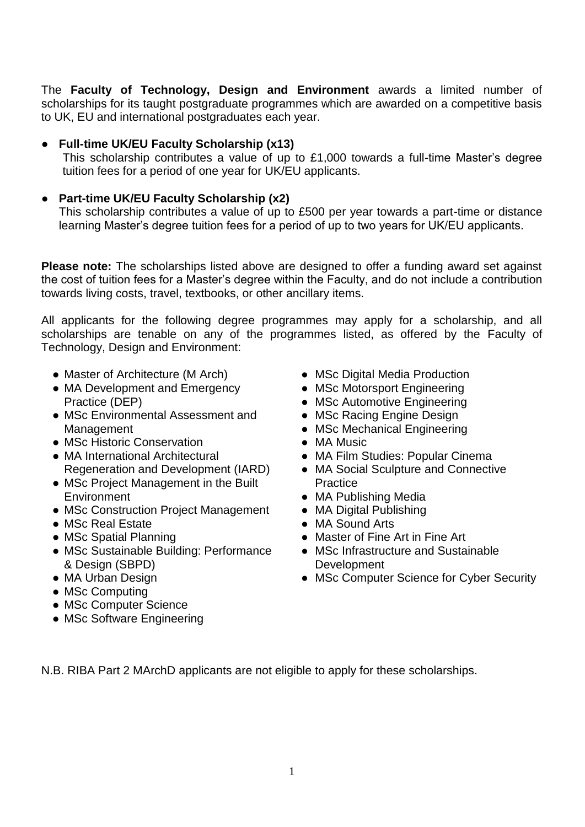The **Faculty of Technology, Design and Environment** awards a limited number of scholarships for its taught postgraduate programmes which are awarded on a competitive basis to UK, EU and international postgraduates each year.

#### ● **Full-time UK/EU Faculty Scholarship (x13)**

This scholarship contributes a value of up to £1,000 towards a full-time Master's degree tuition fees for a period of one year for UK/EU applicants.

#### **Part-time UK/EU Faculty Scholarship (x2)**

This scholarship contributes a value of up to £500 per year towards a part-time or distance learning Master's degree tuition fees for a period of up to two years for UK/EU applicants.

**Please note:** The scholarships listed above are designed to offer a funding award set against the cost of tuition fees for a Master's degree within the Faculty, and do not include a contribution towards living costs, travel, textbooks, or other ancillary items.

All applicants for the following degree programmes may apply for a scholarship, and all scholarships are tenable on any of the programmes listed, as offered by the Faculty of Technology, Design and Environment:

- Master of Architecture (M Arch)
- MA Development and Emergency Practice (DEP)
- MSc Environmental Assessment and Management
- MSc Historic Conservation
- MA International Architectural Regeneration and Development (IARD)
- MSc Project Management in the Built **Environment**
- MSc Construction Project Management
- MSc Real Estate
- MSc Spatial Planning
- MSc Sustainable Building: Performance & Design (SBPD)
- MA Urban Design
- MSc Computing
- MSc Computer Science
- MSc Software Engineering
- MSc Digital Media Production
- MSc Motorsport Engineering
- MSc Automotive Engineering
- MSc Racing Engine Design
- MSc Mechanical Engineering
- MA Music
- MA Film Studies: Popular Cinema
- MA Social Sculpture and Connective **Practice**
- MA Publishing Media
- MA Digital Publishing
- MA Sound Arts
- Master of Fine Art in Fine Art
- MSc Infrastructure and Sustainable Development
- MSc Computer Science for Cyber Security

N.B. RIBA Part 2 MArchD applicants are not eligible to apply for these scholarships.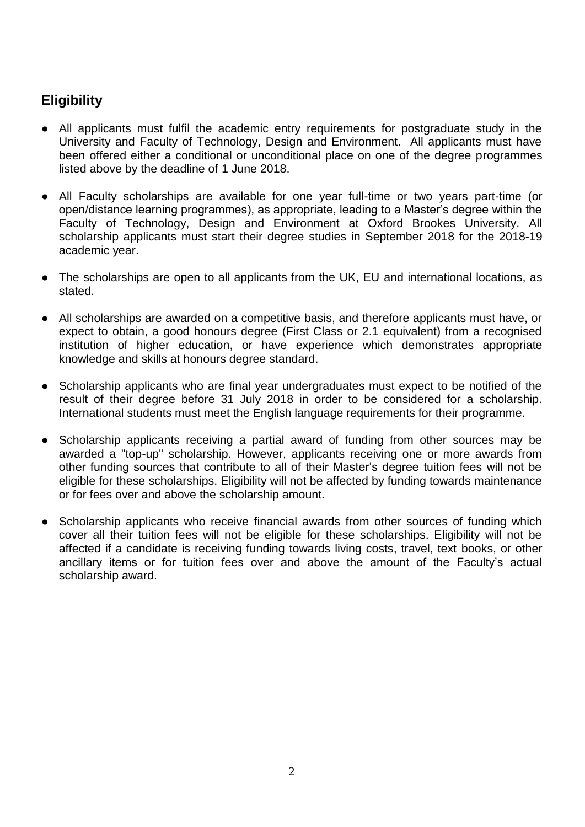# **Eligibility**

- All applicants must fulfil the academic entry requirements for postgraduate study in the University and Faculty of Technology, Design and Environment. All applicants must have been offered either a conditional or unconditional place on one of the degree programmes listed above by the deadline of 1 June 2018.
- All Faculty scholarships are available for one year full-time or two years part-time (or open/distance learning programmes), as appropriate, leading to a Master's degree within the Faculty of Technology, Design and Environment at Oxford Brookes University. All scholarship applicants must start their degree studies in September 2018 for the 2018-19 academic year.
- The scholarships are open to all applicants from the UK, EU and international locations, as stated.
- All scholarships are awarded on a competitive basis, and therefore applicants must have, or expect to obtain, a good honours degree (First Class or 2.1 equivalent) from a recognised institution of higher education, or have experience which demonstrates appropriate knowledge and skills at honours degree standard.
- Scholarship applicants who are final year undergraduates must expect to be notified of the result of their degree before 31 July 2018 in order to be considered for a scholarship. International students must meet the English language requirements for their programme.
- Scholarship applicants receiving a partial award of funding from other sources may be awarded a "top-up" scholarship. However, applicants receiving one or more awards from other funding sources that contribute to all of their Master's degree tuition fees will not be eligible for these scholarships. Eligibility will not be affected by funding towards maintenance or for fees over and above the scholarship amount.
- Scholarship applicants who receive financial awards from other sources of funding which cover all their tuition fees will not be eligible for these scholarships. Eligibility will not be affected if a candidate is receiving funding towards living costs, travel, text books, or other ancillary items or for tuition fees over and above the amount of the Faculty's actual scholarship award.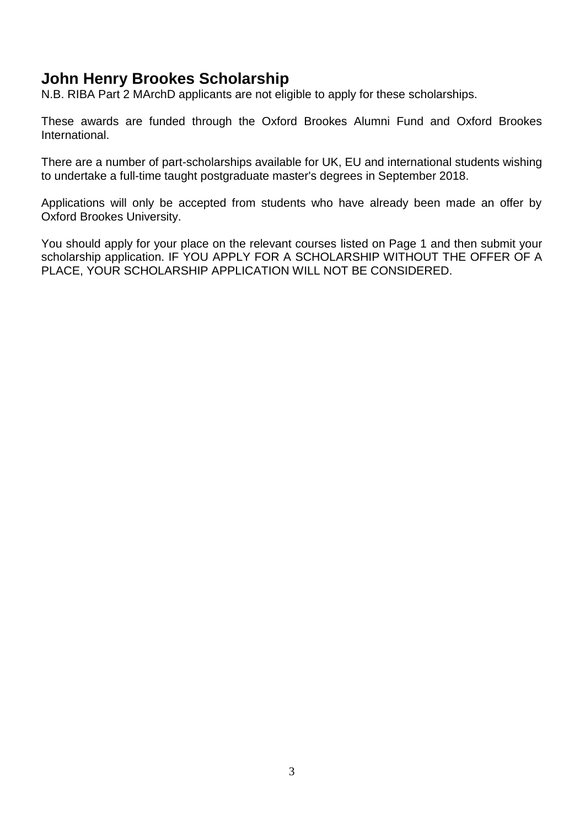# **John Henry Brookes Scholarship**

N.B. RIBA Part 2 MArchD applicants are not eligible to apply for these scholarships.

These awards are funded through the Oxford Brookes Alumni Fund and Oxford Brookes International.

There are a number of part-scholarships available for UK, EU and international students wishing to undertake a full-time taught postgraduate master's degrees in September 2018.

Applications will only be accepted from students who have already been made an offer by Oxford Brookes University.

You should apply for your place on the relevant courses listed on Page 1 and then submit your scholarship application. IF YOU APPLY FOR A SCHOLARSHIP WITHOUT THE OFFER OF A PLACE, YOUR SCHOLARSHIP APPLICATION WILL NOT BE CONSIDERED.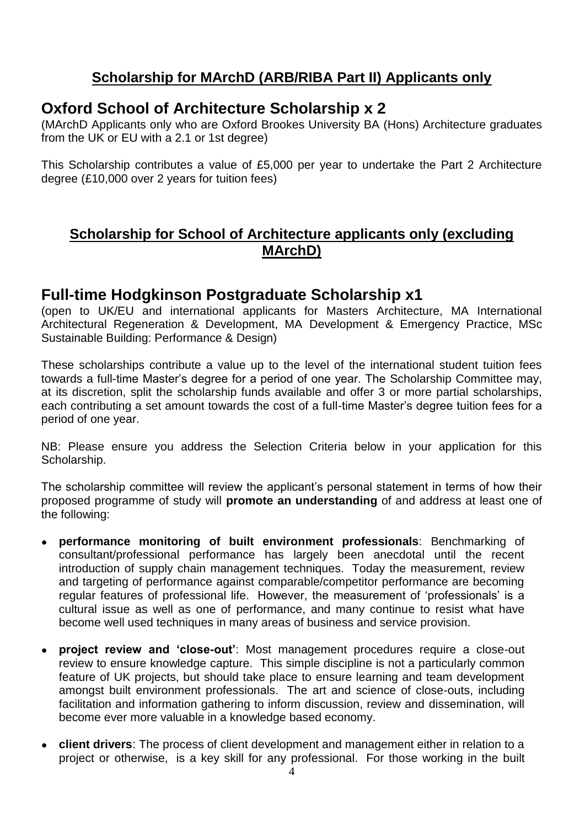# **Scholarship for MArchD (ARB/RIBA Part II) Applicants only**

# **Oxford School of Architecture Scholarship x 2**

(MArchD Applicants only who are Oxford Brookes University BA (Hons) Architecture graduates from the UK or EU with a 2.1 or 1st degree)

This Scholarship contributes a value of £5,000 per year to undertake the Part 2 Architecture degree (£10,000 over 2 years for tuition fees)

### **Scholarship for School of Architecture applicants only (excluding MArchD)**

### **Full-time Hodgkinson Postgraduate Scholarship x1**

(open to UK/EU and international applicants for Masters Architecture, MA International Architectural Regeneration & Development, MA Development & Emergency Practice, MSc Sustainable Building: Performance & Design)

These scholarships contribute a value up to the level of the international student tuition fees towards a full-time Master's degree for a period of one year. The Scholarship Committee may, at its discretion, split the scholarship funds available and offer 3 or more partial scholarships, each contributing a set amount towards the cost of a full-time Master's degree tuition fees for a period of one year.

NB: Please ensure you address the Selection Criteria below in your application for this Scholarship.

The scholarship committee will review the applicant's personal statement in terms of how their proposed programme of study will **promote an understanding** of and address at least one of the following:

- **performance monitoring of built environment professionals**: Benchmarking of consultant/professional performance has largely been anecdotal until the recent introduction of supply chain management techniques. Today the measurement, review and targeting of performance against comparable/competitor performance are becoming regular features of professional life. However, the measurement of 'professionals' is a cultural issue as well as one of performance, and many continue to resist what have become well used techniques in many areas of business and service provision.
- **project review and 'close-out'**: Most management procedures require a close-out review to ensure knowledge capture. This simple discipline is not a particularly common feature of UK projects, but should take place to ensure learning and team development amongst built environment professionals. The art and science of close-outs, including facilitation and information gathering to inform discussion, review and dissemination, will become ever more valuable in a knowledge based economy.
- **client drivers**: The process of client development and management either in relation to a project or otherwise, is a key skill for any professional. For those working in the built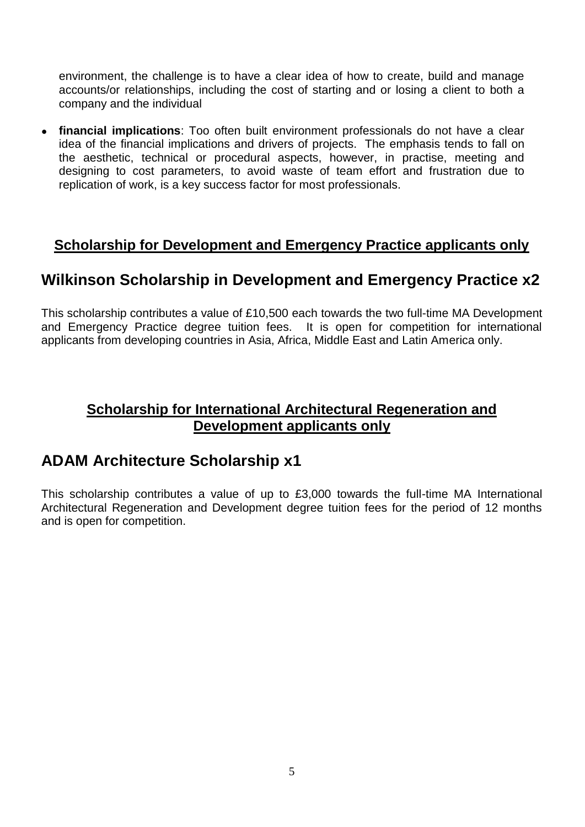environment, the challenge is to have a clear idea of how to create, build and manage accounts/or relationships, including the cost of starting and or losing a client to both a company and the individual

● **financial implications**: Too often built environment professionals do not have a clear idea of the financial implications and drivers of projects. The emphasis tends to fall on the aesthetic, technical or procedural aspects, however, in practise, meeting and designing to cost parameters, to avoid waste of team effort and frustration due to replication of work, is a key success factor for most professionals.

### **Scholarship for Development and Emergency Practice applicants only**

# **Wilkinson Scholarship in Development and Emergency Practice x2**

This scholarship contributes a value of £10,500 each towards the two full-time MA Development and Emergency Practice degree tuition fees. It is open for competition for international applicants from developing countries in Asia, Africa, Middle East and Latin America only.

### **Scholarship for International Architectural Regeneration and Development applicants only**

# **ADAM Architecture Scholarship x1**

This scholarship contributes a value of up to £3,000 towards the full-time MA International Architectural Regeneration and Development degree tuition fees for the period of 12 months and is open for competition.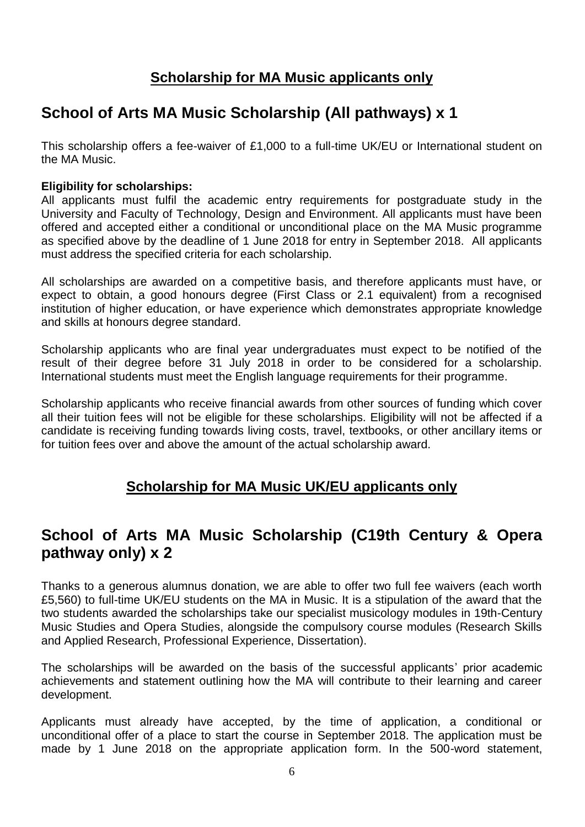# **Scholarship for MA Music applicants only**

# **School of Arts MA Music Scholarship (All pathways) x 1**

This scholarship offers a fee-waiver of £1,000 to a full-time UK/EU or International student on the MA Music.

#### **Eligibility for scholarships:**

All applicants must fulfil the academic entry requirements for postgraduate study in the University and Faculty of Technology, Design and Environment. All applicants must have been offered and accepted either a conditional or unconditional place on the MA Music programme as specified above by the deadline of 1 June 2018 for entry in September 2018. All applicants must address the specified criteria for each scholarship.

All scholarships are awarded on a competitive basis, and therefore applicants must have, or expect to obtain, a good honours degree (First Class or 2.1 equivalent) from a recognised institution of higher education, or have experience which demonstrates appropriate knowledge and skills at honours degree standard.

Scholarship applicants who are final year undergraduates must expect to be notified of the result of their degree before 31 July 2018 in order to be considered for a scholarship. International students must meet the English language requirements for their programme.

Scholarship applicants who receive financial awards from other sources of funding which cover all their tuition fees will not be eligible for these scholarships. Eligibility will not be affected if a candidate is receiving funding towards living costs, travel, textbooks, or other ancillary items or for tuition fees over and above the amount of the actual scholarship award.

### **Scholarship for MA Music UK/EU applicants only**

# **School of Arts MA Music Scholarship (C19th Century & Opera pathway only) x 2**

Thanks to a generous alumnus donation, we are able to offer two full fee waivers (each worth £5,560) to full-time UK/EU students on the MA in Music. It is a stipulation of the award that the two students awarded the scholarships take our specialist musicology modules in 19th-Century Music Studies and Opera Studies, alongside the compulsory course modules (Research Skills and Applied Research, Professional Experience, Dissertation).

The scholarships will be awarded on the basis of the successful applicants' prior academic achievements and statement outlining how the MA will contribute to their learning and career development.

Applicants must already have accepted, by the time of application, a conditional or unconditional offer of a place to start the course in September 2018. The application must be made by 1 June 2018 on the appropriate application form. In the 500-word statement,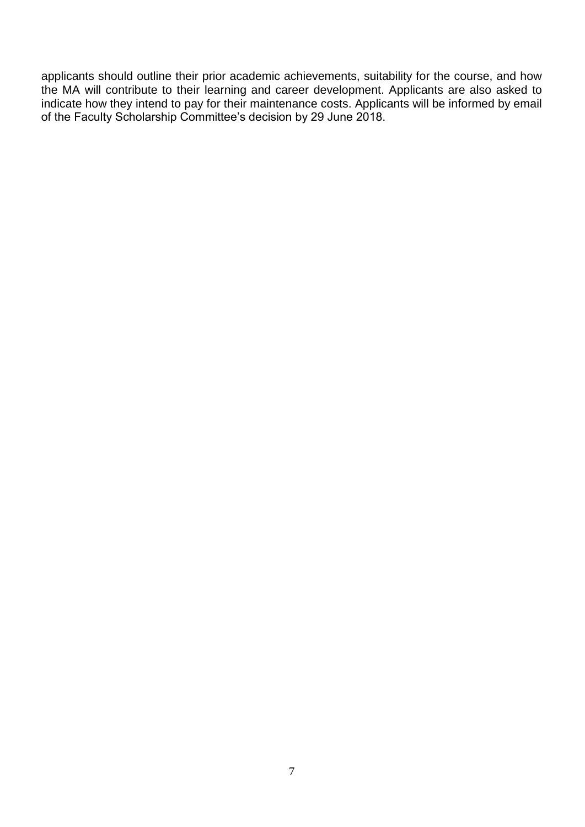applicants should outline their prior academic achievements, suitability for the course, and how the MA will contribute to their learning and career development. Applicants are also asked to indicate how they intend to pay for their maintenance costs. Applicants will be informed by email of the Faculty Scholarship Committee's decision by 29 June 2018.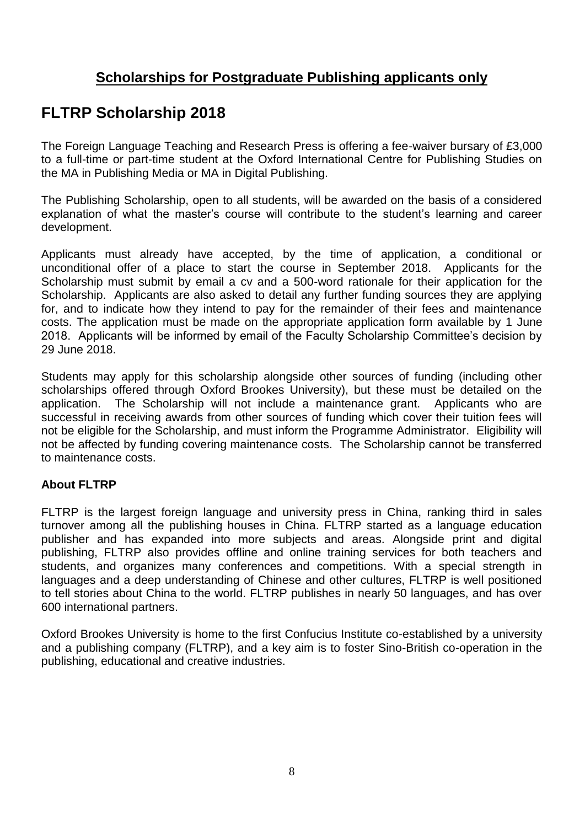# **Scholarships for Postgraduate Publishing applicants only**

# **FLTRP Scholarship 2018**

The Foreign Language Teaching and Research Press is offering a fee-waiver bursary of £3,000 to a full-time or part-time student at the Oxford International Centre for Publishing Studies on the MA in Publishing Media or MA in Digital Publishing.

The Publishing Scholarship, open to all students, will be awarded on the basis of a considered explanation of what the master's course will contribute to the student's learning and career development.

Applicants must already have accepted, by the time of application, a conditional or unconditional offer of a place to start the course in September 2018. Applicants for the Scholarship must submit by email a cv and a 500-word rationale for their application for the Scholarship. Applicants are also asked to detail any further funding sources they are applying for, and to indicate how they intend to pay for the remainder of their fees and maintenance costs. The application must be made on the appropriate application form available by 1 June 2018. Applicants will be informed by email of the Faculty Scholarship Committee's decision by 29 June 2018.

Students may apply for this scholarship alongside other sources of funding (including other scholarships offered through Oxford Brookes University), but these must be detailed on the application. The Scholarship will not include a maintenance grant. Applicants who are successful in receiving awards from other sources of funding which cover their tuition fees will not be eligible for the Scholarship, and must inform the Programme Administrator. Eligibility will not be affected by funding covering maintenance costs. The Scholarship cannot be transferred to maintenance costs.

#### **About FLTRP**

FLTRP is the largest foreign language and university press in China, ranking third in sales turnover among all the publishing houses in China. FLTRP started as a language education publisher and has expanded into more subjects and areas. Alongside print and digital publishing, FLTRP also provides offline and online training services for both teachers and students, and organizes many conferences and competitions. With a special strength in languages and a deep understanding of Chinese and other cultures, FLTRP is well positioned to tell stories about China to the world. FLTRP publishes in nearly 50 languages, and has over 600 international partners.

Oxford Brookes University is home to the first Confucius Institute co-established by a university and a publishing company (FLTRP), and a key aim is to foster Sino-British co-operation in the publishing, educational and creative industries.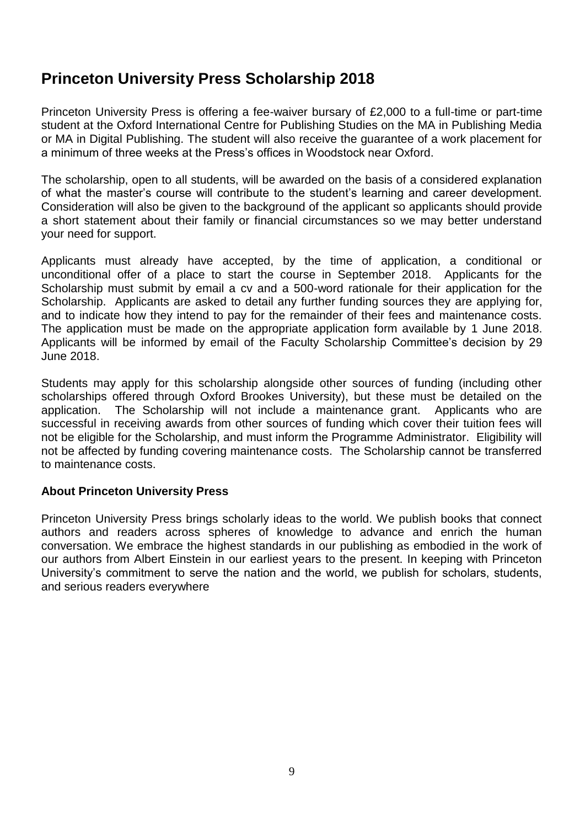# **Princeton University Press Scholarship 2018**

Princeton University Press is offering a fee-waiver bursary of £2,000 to a full-time or part-time student at the Oxford International Centre for Publishing Studies on the MA in Publishing Media or MA in Digital Publishing. The student will also receive the guarantee of a work placement for a minimum of three weeks at the Press's offices in Woodstock near Oxford.

The scholarship, open to all students, will be awarded on the basis of a considered explanation of what the master's course will contribute to the student's learning and career development. Consideration will also be given to the background of the applicant so applicants should provide a short statement about their family or financial circumstances so we may better understand your need for support.

Applicants must already have accepted, by the time of application, a conditional or unconditional offer of a place to start the course in September 2018. Applicants for the Scholarship must submit by email a cv and a 500-word rationale for their application for the Scholarship. Applicants are asked to detail any further funding sources they are applying for, and to indicate how they intend to pay for the remainder of their fees and maintenance costs. The application must be made on the appropriate application form available by 1 June 2018. Applicants will be informed by email of the Faculty Scholarship Committee's decision by 29 June 2018.

Students may apply for this scholarship alongside other sources of funding (including other scholarships offered through Oxford Brookes University), but these must be detailed on the application. The Scholarship will not include a maintenance grant. Applicants who are successful in receiving awards from other sources of funding which cover their tuition fees will not be eligible for the Scholarship, and must inform the Programme Administrator. Eligibility will not be affected by funding covering maintenance costs. The Scholarship cannot be transferred to maintenance costs.

#### **About Princeton University Press**

Princeton University Press brings scholarly ideas to the world. We publish books that connect authors and readers across spheres of knowledge to advance and enrich the human conversation. We embrace the highest standards in our publishing as embodied in the work of our authors from Albert Einstein in our earliest years to the present. In keeping with Princeton University's commitment to serve the nation and the world, we publish for scholars, students, and serious readers everywhere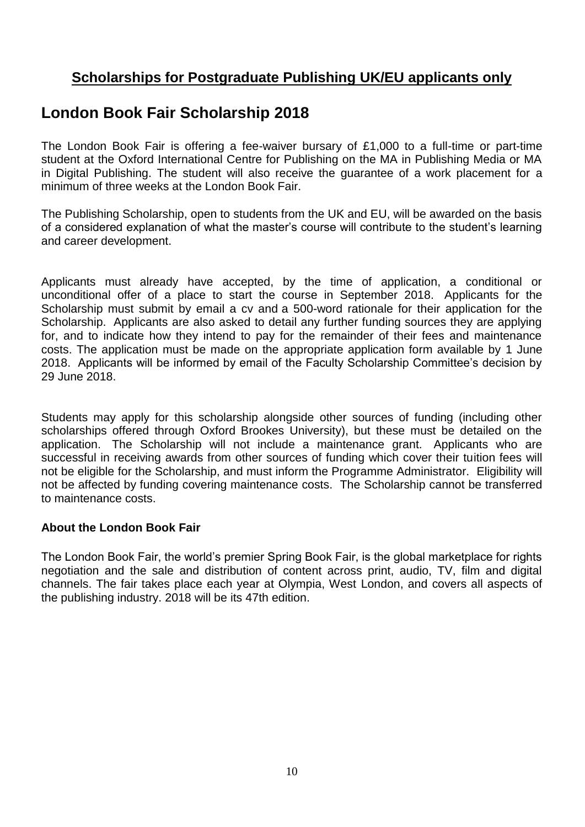# **Scholarships for Postgraduate Publishing UK/EU applicants only**

# **London Book Fair Scholarship 2018**

The London Book Fair is offering a fee-waiver bursary of £1,000 to a full-time or part-time student at the Oxford International Centre for Publishing on the MA in Publishing Media or MA in Digital Publishing. The student will also receive the guarantee of a work placement for a minimum of three weeks at the London Book Fair.

The Publishing Scholarship, open to students from the UK and EU, will be awarded on the basis of a considered explanation of what the master's course will contribute to the student's learning and career development.

Applicants must already have accepted, by the time of application, a conditional or unconditional offer of a place to start the course in September 2018. Applicants for the Scholarship must submit by email a cv and a 500-word rationale for their application for the Scholarship. Applicants are also asked to detail any further funding sources they are applying for, and to indicate how they intend to pay for the remainder of their fees and maintenance costs. The application must be made on the appropriate application form available by 1 June 2018. Applicants will be informed by email of the Faculty Scholarship Committee's decision by 29 June 2018.

Students may apply for this scholarship alongside other sources of funding (including other scholarships offered through Oxford Brookes University), but these must be detailed on the application. The Scholarship will not include a maintenance grant. Applicants who are successful in receiving awards from other sources of funding which cover their tuition fees will not be eligible for the Scholarship, and must inform the Programme Administrator. Eligibility will not be affected by funding covering maintenance costs. The Scholarship cannot be transferred to maintenance costs.

#### **About the London Book Fair**

The London Book Fair, the world's premier Spring Book Fair, is the global marketplace for rights negotiation and the sale and distribution of content across print, audio, TV, film and digital channels. The fair takes place each year at Olympia, West London, and covers all aspects of the publishing industry. 2018 will be its 47th edition.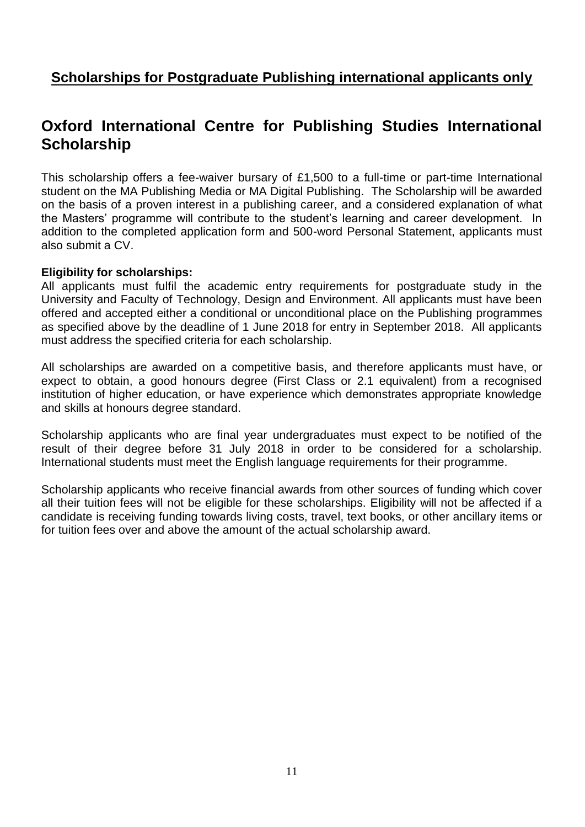## **Scholarships for Postgraduate Publishing international applicants only**

# **Oxford International Centre for Publishing Studies International Scholarship**

This scholarship offers a fee-waiver bursary of £1,500 to a full-time or part-time International student on the MA Publishing Media or MA Digital Publishing. The Scholarship will be awarded on the basis of a proven interest in a publishing career, and a considered explanation of what the Masters' programme will contribute to the student's learning and career development. In addition to the completed application form and 500-word Personal Statement, applicants must also submit a CV.

#### **Eligibility for scholarships:**

All applicants must fulfil the academic entry requirements for postgraduate study in the University and Faculty of Technology, Design and Environment. All applicants must have been offered and accepted either a conditional or unconditional place on the Publishing programmes as specified above by the deadline of 1 June 2018 for entry in September 2018. All applicants must address the specified criteria for each scholarship.

All scholarships are awarded on a competitive basis, and therefore applicants must have, or expect to obtain, a good honours degree (First Class or 2.1 equivalent) from a recognised institution of higher education, or have experience which demonstrates appropriate knowledge and skills at honours degree standard.

Scholarship applicants who are final year undergraduates must expect to be notified of the result of their degree before 31 July 2018 in order to be considered for a scholarship. International students must meet the English language requirements for their programme.

Scholarship applicants who receive financial awards from other sources of funding which cover all their tuition fees will not be eligible for these scholarships. Eligibility will not be affected if a candidate is receiving funding towards living costs, travel, text books, or other ancillary items or for tuition fees over and above the amount of the actual scholarship award.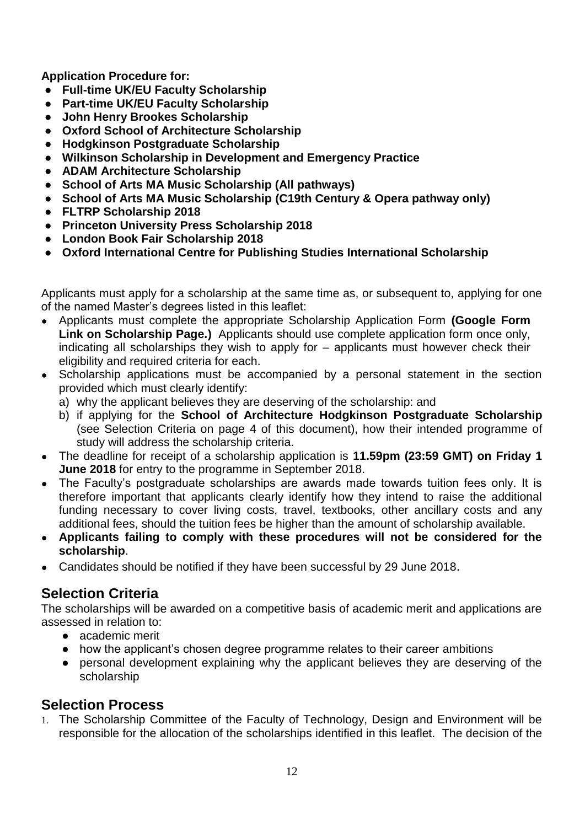**Application Procedure for:**

- **Full-time UK/EU Faculty Scholarship**
- **Part-time UK/EU Faculty Scholarship**
- **John Henry Brookes Scholarship**
- **Oxford School of Architecture Scholarship**
- **Hodgkinson Postgraduate Scholarship**
- **Wilkinson Scholarship in Development and Emergency Practice**
- **ADAM Architecture Scholarship**
- **School of Arts MA Music Scholarship (All pathways)**
- **School of Arts MA Music Scholarship (C19th Century & Opera pathway only)**
- **FLTRP Scholarship 2018**
- **Princeton University Press Scholarship 2018**
- **London Book Fair Scholarship 2018**
- **Oxford International Centre for Publishing Studies International Scholarship**

Applicants must apply for a scholarship at the same time as, or subsequent to, applying for one of the named Master's degrees listed in this leaflet:

- Applicants must complete the appropriate Scholarship Application Form **(Google Form Link on Scholarship Page.)** Applicants should use complete application form once only, indicating all scholarships they wish to apply for – applicants must however check their eligibility and required criteria for each.
- Scholarship applications must be accompanied by a personal statement in the section provided which must clearly identify:
	- a) why the applicant believes they are deserving of the scholarship: and
	- b) if applying for the **School of Architecture Hodgkinson Postgraduate Scholarship** (see Selection Criteria on page 4 of this document), how their intended programme of study will address the scholarship criteria.
- The deadline for receipt of a scholarship application is **11.59pm (23:59 GMT) on Friday 1 June 2018** for entry to the programme in September 2018.
- The Faculty's postgraduate scholarships are awards made towards tuition fees only. It is therefore important that applicants clearly identify how they intend to raise the additional funding necessary to cover living costs, travel, textbooks, other ancillary costs and any additional fees, should the tuition fees be higher than the amount of scholarship available.
- **Applicants failing to comply with these procedures will not be considered for the scholarship**.
- Candidates should be notified if they have been successful by 29 June 2018.

### **Selection Criteria**

The scholarships will be awarded on a competitive basis of academic merit and applications are assessed in relation to:

- academic merit
- how the applicant's chosen degree programme relates to their career ambitions
- personal development explaining why the applicant believes they are deserving of the scholarship

### **Selection Process**

1. The Scholarship Committee of the Faculty of Technology, Design and Environment will be responsible for the allocation of the scholarships identified in this leaflet. The decision of the